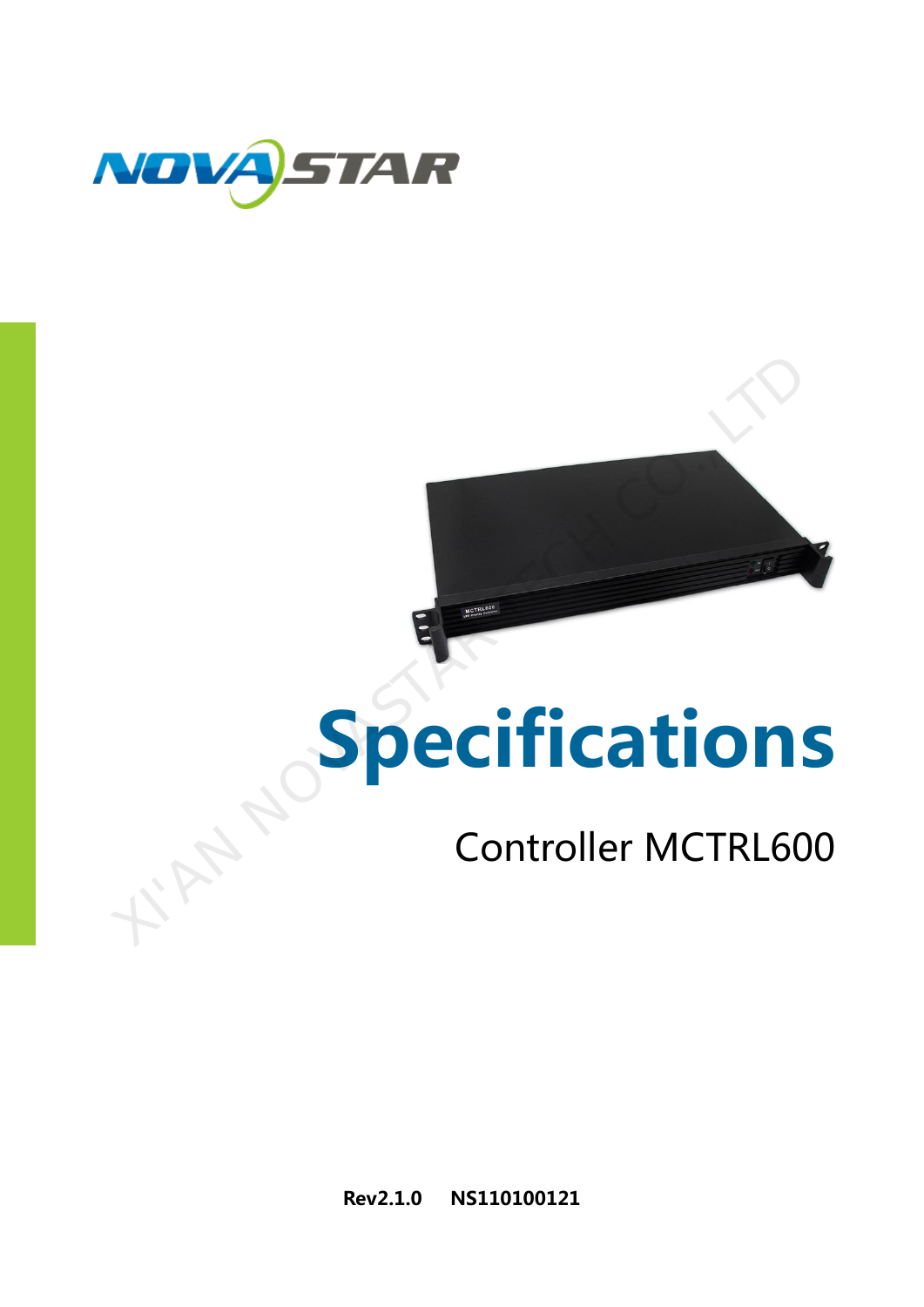

# Specifications Specification

# Controller MCTRL600

Rev2.1.0 NS110100121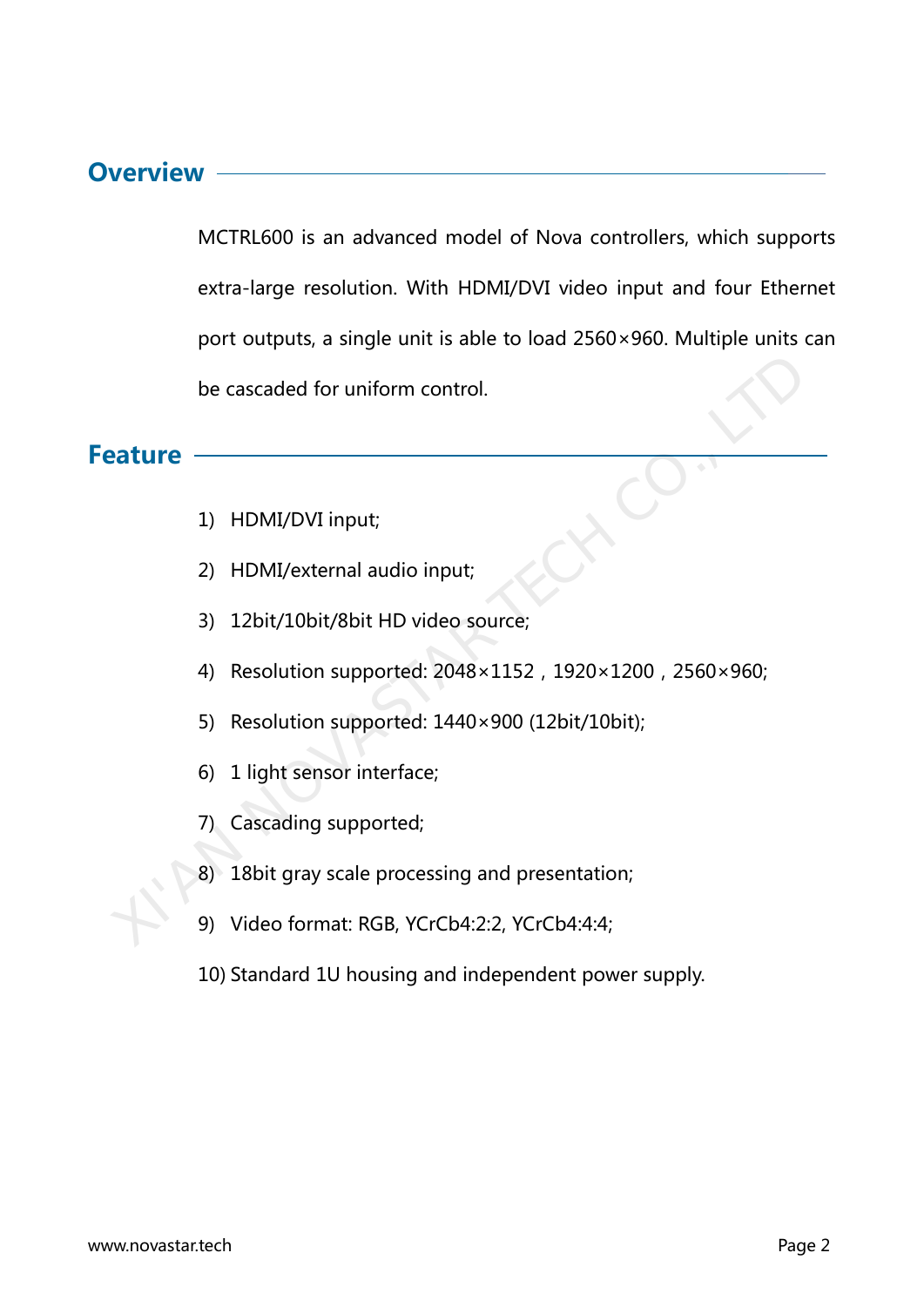#### **Overview**

MCTRL600 is an advanced model of Nova controllers, which supports extra-large resolution. With HDMI/DVI video input and four Ethernet port outputs, a single unit is able to load 2560×960. Multiple units can be cascaded for uniform control. be cascaded for uniform control.<br>
2) HDMI/DVI input;<br>
2) HDMI/external audio input;<br>
3) 12bit/10bit/8bit HD video source;<br>
4) Resolution supported: 2048×1152 , 1920×1200 , 2560×960;<br>
5) Resolution supported: 1440×900 (12bi

#### **Feature**

- 1) HDMI/DVI input;
- 2) HDMI/external audio input;
- 3) 12bit/10bit/8bit HD video source;
- 4) Resolution supported: 2048×1152, 1920×1200, 2560×960;
- 5) Resolution supported: 1440×900 (12bit/10bit);
- 6) 1 light sensor interface;
- 7) Cascading supported;
- 8) 18bit gray scale processing and presentation;
- 9) Video format: RGB, YCrCb4:2:2, YCrCb4:4:4;
- 10) Standard 1U housing and independent power supply.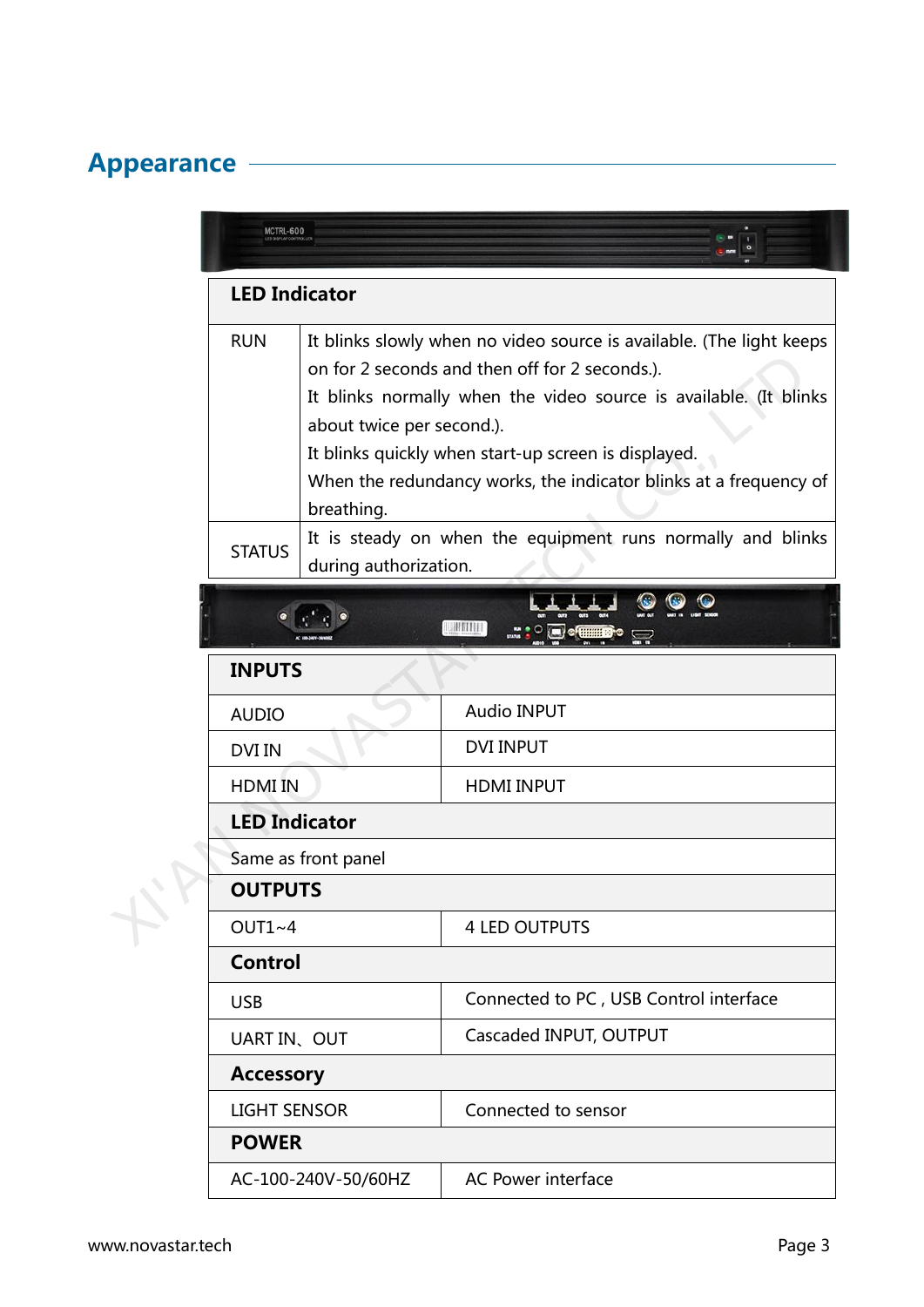# Appearance <u>————————————————</u>

|  | MCTRL-600            |                                         |                                                                                                                                                                                                                                                                                                                          |  |  |  |
|--|----------------------|-----------------------------------------|--------------------------------------------------------------------------------------------------------------------------------------------------------------------------------------------------------------------------------------------------------------------------------------------------------------------------|--|--|--|
|  | <b>LED Indicator</b> |                                         |                                                                                                                                                                                                                                                                                                                          |  |  |  |
|  | <b>RUN</b>           | about twice per second.).<br>breathing. | It blinks slowly when no video source is available. (The light keeps<br>on for 2 seconds and then off for 2 seconds.).<br>It blinks normally when the video source is available. (It blinks<br>It blinks quickly when start-up screen is displayed.<br>When the redundancy works, the indicator blinks at a frequency of |  |  |  |
|  | <b>STATUS</b>        | during authorization.                   | It is steady on when the equipment runs normally and blinks                                                                                                                                                                                                                                                              |  |  |  |
|  |                      |                                         |                                                                                                                                                                                                                                                                                                                          |  |  |  |
|  | <b>INPUTS</b>        |                                         |                                                                                                                                                                                                                                                                                                                          |  |  |  |
|  | <b>AUDIO</b>         |                                         | <b>Audio INPUT</b>                                                                                                                                                                                                                                                                                                       |  |  |  |
|  | <b>DVI IN</b>        |                                         | <b>DVI INPUT</b>                                                                                                                                                                                                                                                                                                         |  |  |  |
|  | <b>HDMI IN</b>       |                                         | <b>HDMI INPUT</b>                                                                                                                                                                                                                                                                                                        |  |  |  |
|  | <b>LED Indicator</b> |                                         |                                                                                                                                                                                                                                                                                                                          |  |  |  |
|  | Same as front panel  |                                         |                                                                                                                                                                                                                                                                                                                          |  |  |  |
|  | <b>OUTPUTS</b>       |                                         |                                                                                                                                                                                                                                                                                                                          |  |  |  |
|  | $OUT1~-4$            |                                         | <b>4 LED OUTPUTS</b>                                                                                                                                                                                                                                                                                                     |  |  |  |
|  | <b>Control</b>       |                                         |                                                                                                                                                                                                                                                                                                                          |  |  |  |
|  | <b>USB</b>           |                                         | Connected to PC, USB Control interface                                                                                                                                                                                                                                                                                   |  |  |  |
|  | UART IN、OUT          |                                         | Cascaded INPUT, OUTPUT                                                                                                                                                                                                                                                                                                   |  |  |  |
|  | <b>Accessory</b>     |                                         |                                                                                                                                                                                                                                                                                                                          |  |  |  |
|  | <b>LIGHT SENSOR</b>  |                                         | Connected to sensor                                                                                                                                                                                                                                                                                                      |  |  |  |
|  | <b>POWER</b>         |                                         |                                                                                                                                                                                                                                                                                                                          |  |  |  |
|  |                      | AC-100-240V-50/60HZ                     | <b>AC Power interface</b>                                                                                                                                                                                                                                                                                                |  |  |  |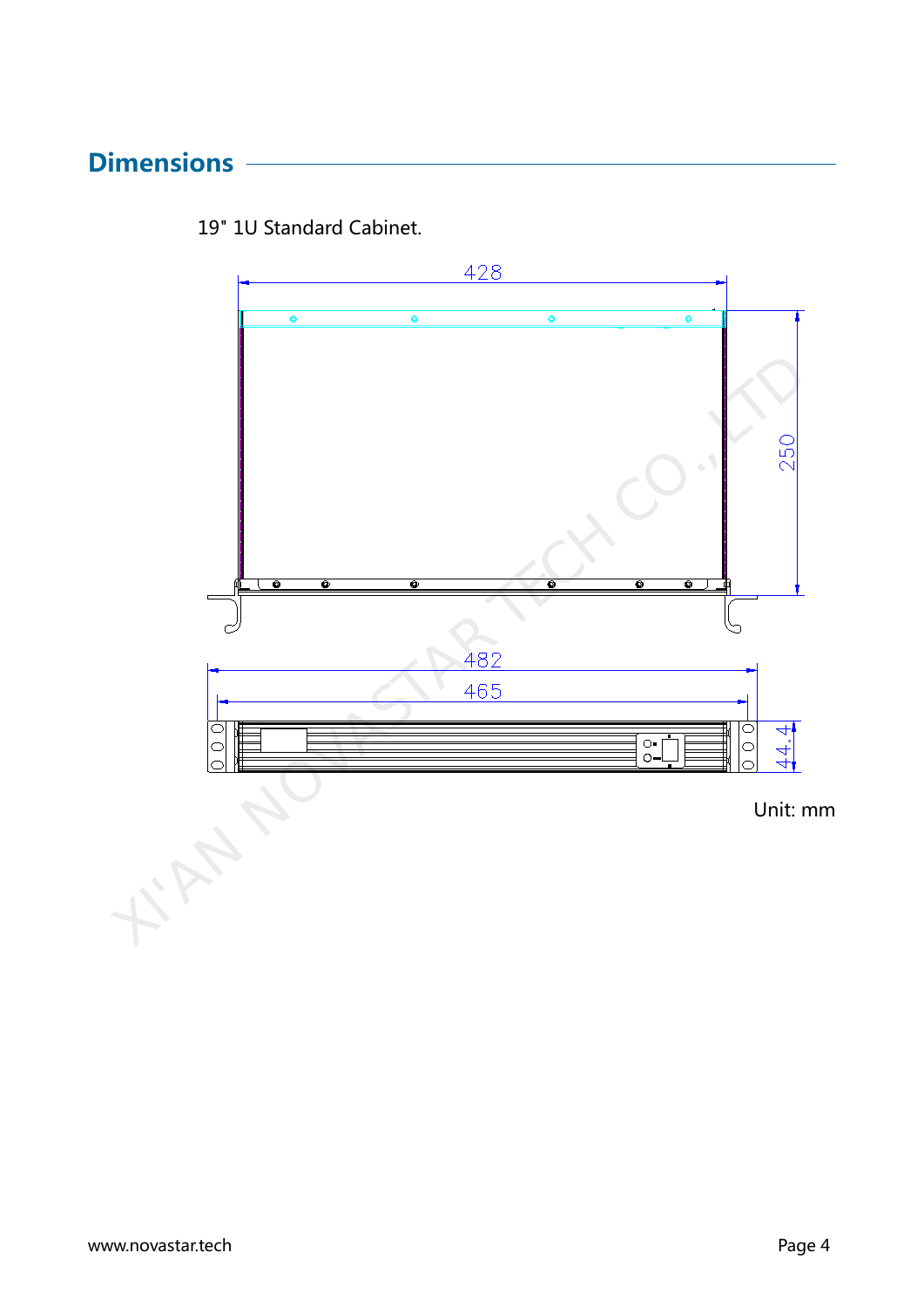### **Dimensions**



19" 1U Standard Cabinet.



**Fritz**